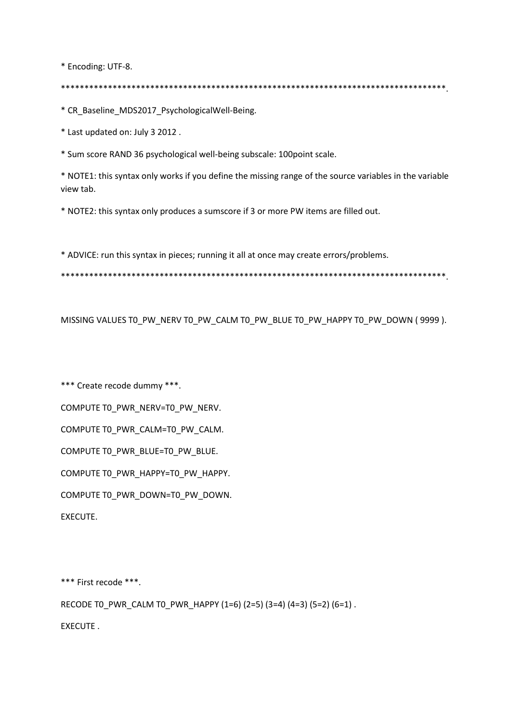\* Encoding: UTF-8.

\* CR Baseline MDS2017 PsychologicalWell-Being.

\* Last updated on: July 3 2012.

\* Sum score RAND 36 psychological well-being subscale: 100point scale.

\* NOTE1: this syntax only works if you define the missing range of the source variables in the variable view tab.

\* NOTE2: this syntax only produces a sumscore if 3 or more PW items are filled out.

\* ADVICE: run this syntax in pieces; running it all at once may create errors/problems.

MISSING VALUES TO PW NERV TO PW CALM TO PW BLUE TO PW HAPPY TO PW DOWN (9999).

\*\*\* Create recode dummy \*\*\*. COMPUTE TO PWR NERV=TO PW NERV. COMPUTE TO\_PWR\_CALM=TO\_PW\_CALM. COMPUTE TO PWR BLUE=TO PW BLUE. COMPUTE TO\_PWR\_HAPPY=TO\_PW\_HAPPY. COMPUTE TO\_PWR\_DOWN=TO\_PW\_DOWN. EXECUTE.

\*\*\* First recode \*\*\*.

RECODE TO\_PWR\_CALM TO\_PWR\_HAPPY (1=6) (2=5) (3=4) (4=3) (5=2) (6=1).

**FXFCUTF.**